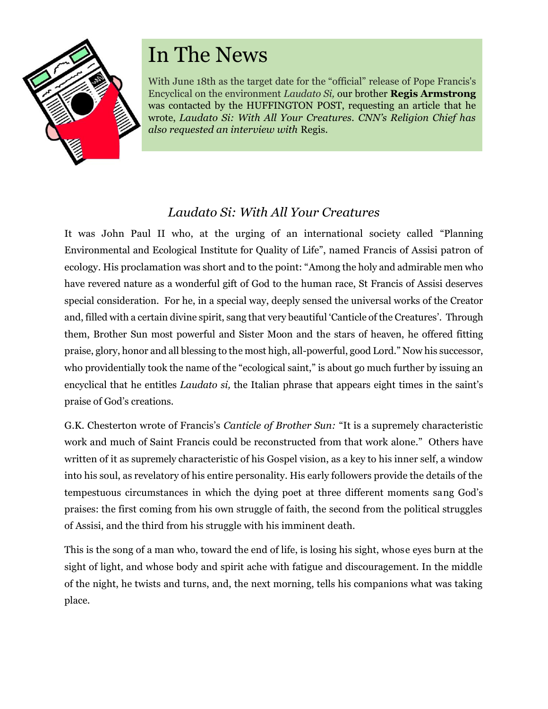

# In The News

With June 18th as the target date for the "official" release of Pope Francis's Encyclical on the environment *Laudato Si,* our brother **Regis Armstrong** was contacted by the HUFFINGTON POST, requesting an article that he wrote, *Laudato Si: With All Your Creatures. CNN's Religion Chief has also requested an interview with* Regis.

# *Laudato Si: With All Your Creatures*

It was John Paul II who, at the urging of an international society called "Planning Environmental and Ecological Institute for Quality of Life", named Francis of Assisi patron of ecology. His proclamation was short and to the point: "Among the holy and admirable men who have revered nature as a wonderful gift of God to the human race, St Francis of Assisi deserves special consideration. For he, in a special way, deeply sensed the universal works of the Creator and, filled with a certain divine spirit, sang that very beautiful 'Canticle of the Creatures'. Through them, Brother Sun most powerful and Sister Moon and the stars of heaven, he offered fitting praise, glory, honor and all blessing to the most high, all-powerful, good Lord." Now his successor, who providentially took the name of the "ecological saint," is about go much further by issuing an encyclical that he entitles *Laudato si,* the Italian phrase that appears eight times in the saint's praise of God's creations.

G.K. Chesterton wrote of Francis's *Canticle of Brother Sun:* "It is a supremely characteristic work and much of Saint Francis could be reconstructed from that work alone."Others have written of it as supremely characteristic of his Gospel vision, as a key to his inner self, a window into his soul, as revelatory of his entire personality. His early followers provide the details of the tempestuous circumstances in which the dying poet at three different moments sang God's praises: the first coming from his own struggle of faith, the second from the political struggles of Assisi, and the third from his struggle with his imminent death.

This is the song of a man who, toward the end of life, is losing his sight, whose eyes burn at the sight of light, and whose body and spirit ache with fatigue and discouragement. In the middle of the night, he twists and turns, and, the next morning, tells his companions what was taking place.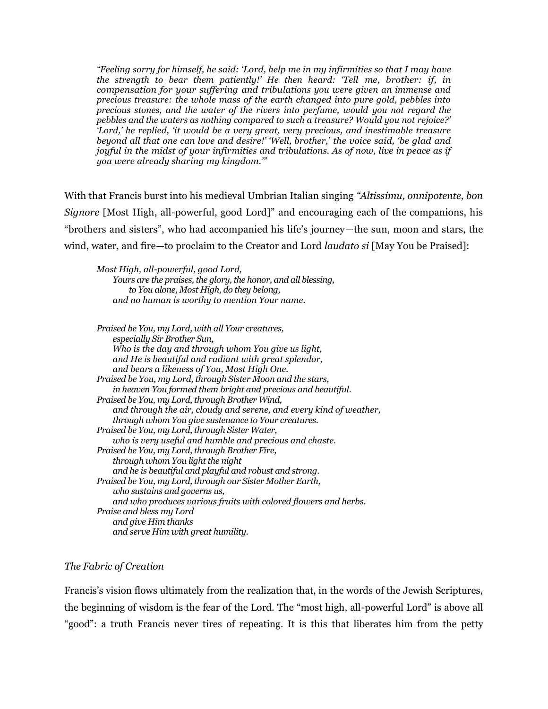*"Feeling sorry for himself, he said: 'Lord, help me in my infirmities so that I may have the strength to bear them patiently!' He then heard: 'Tell me, brother: if, in compensation for your suffering and tribulations you were given an immense and precious treasure: the whole mass of the earth changed into pure gold, pebbles into precious stones, and the water of the rivers into perfume, would you not regard the pebbles and the waters as nothing compared to such a treasure? Would you not rejoice?' 'Lord,' he replied, 'it would be a very great, very precious, and inestimable treasure beyond all that one can love and desire!' 'Well, brother,' the voice said, 'be glad and joyful in the midst of your infirmities and tribulations. As of now, live in peace as if you were already sharing my kingdom.'"* 

With that Francis burst into his medieval Umbrian Italian singing *"Altissimu, onnipotente, bon Signore* [Most High, all-powerful, good Lord]" and encouraging each of the companions, his "brothers and sisters", who had accompanied his life's journey—the sun, moon and stars, the wind, water, and fire—to proclaim to the Creator and Lord *laudato si* [May You be Praised]:

*Most High, all-powerful, good Lord, Yours are the praises, the glory, the honor, and all blessing, to You alone, Most High, do they belong, and no human is worthy to mention Your name.* 

*Praised be You, my Lord, with all Your creatures, especially Sir Brother Sun, Who is the day and through whom You give us light, and He is beautiful and radiant with great splendor, and bears a likeness of You, Most High One. Praised be You, my Lord, through Sister Moon and the stars, in heaven You formed them bright and precious and beautiful. Praised be You, my Lord, through Brother Wind, and through the air, cloudy and serene, and every kind of weather, through whom You give sustenance to Your creatures. Praised be You, my Lord, through Sister Water, who is very useful and humble and precious and chaste. Praised be You, my Lord, through Brother Fire, through whom You light the night and he is beautiful and playful and robust and strong. Praised be You, my Lord, through our Sister Mother Earth, who sustains and governs us, and who produces various fruits with colored flowers and herbs. Praise and bless my Lord and give Him thanks and serve Him with great humility.* 

## *The Fabric of Creation*

Francis's vision flows ultimately from the realization that, in the words of the Jewish Scriptures, the beginning of wisdom is the fear of the Lord. The "most high, all-powerful Lord" is above all "good": a truth Francis never tires of repeating. It is this that liberates him from the petty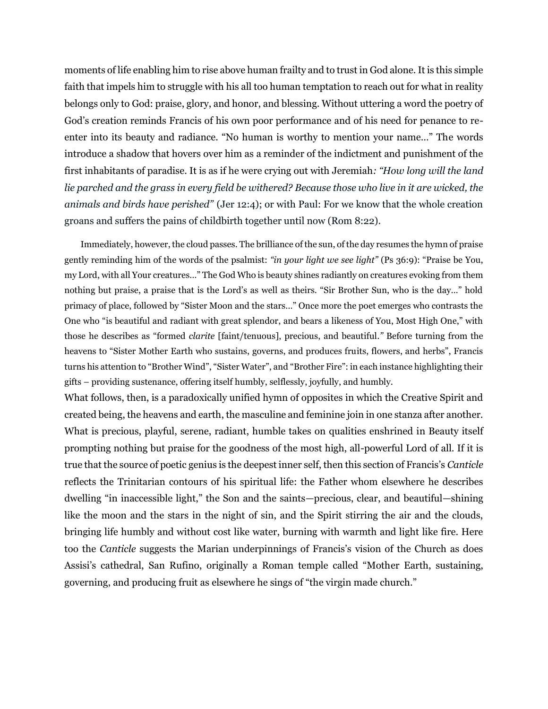moments of life enabling him to rise above human frailty and to trust in God alone. It is this simple faith that impels him to struggle with his all too human temptation to reach out for what in reality belongs only to God: praise, glory, and honor, and blessing. Without uttering a word the poetry of God's creation reminds Francis of his own poor performance and of his need for penance to reenter into its beauty and radiance. "No human is worthy to mention your name…" The words introduce a shadow that hovers over him as a reminder of the indictment and punishment of the first inhabitants of paradise. It is as if he were crying out with Jeremiah*: "How long will the land lie parched and the grass in every field be withered? Because those who live in it are wicked, the animals and birds have perished"* (Jer 12:4); or with Paul: For we know that the whole creation groans and suffers the pains of childbirth together until now (Rom 8:22).

Immediately, however, the cloud passes. The brilliance of the sun, of the day resumes the hymn of praise gently reminding him of the words of the psalmist: *"in your light we see light"* (Ps 36:9): "Praise be You, my Lord, with all Your creatures…" The God Who is beauty shines radiantly on creatures evoking from them nothing but praise, a praise that is the Lord's as well as theirs. "Sir Brother Sun, who is the day…" hold primacy of place, followed by "Sister Moon and the stars…" Once more the poet emerges who contrasts the One who "is beautiful and radiant with great splendor, and bears a likeness of You, Most High One," with those he describes as "formed *clarite* [faint/tenuous], precious, and beautiful*."* Before turning from the heavens to "Sister Mother Earth who sustains, governs, and produces fruits, flowers, and herbs", Francis turns his attention to "Brother Wind", "Sister Water", and "Brother Fire": in each instance highlighting their gifts – providing sustenance, offering itself humbly, selflessly, joyfully, and humbly.

What follows, then, is a paradoxically unified hymn of opposites in which the Creative Spirit and created being, the heavens and earth, the masculine and feminine join in one stanza after another. What is precious, playful, serene, radiant, humble takes on qualities enshrined in Beauty itself prompting nothing but praise for the goodness of the most high, all-powerful Lord of all. If it is true that the source of poetic genius is the deepest inner self, then this section of Francis's *Canticle*  reflects the Trinitarian contours of his spiritual life: the Father whom elsewhere he describes dwelling "in inaccessible light," the Son and the saints—precious, clear, and beautiful—shining like the moon and the stars in the night of sin, and the Spirit stirring the air and the clouds, bringing life humbly and without cost like water, burning with warmth and light like fire. Here too the *Canticle* suggests the Marian underpinnings of Francis's vision of the Church as does Assisi's cathedral, San Rufino, originally a Roman temple called "Mother Earth, sustaining, governing, and producing fruit as elsewhere he sings of "the virgin made church."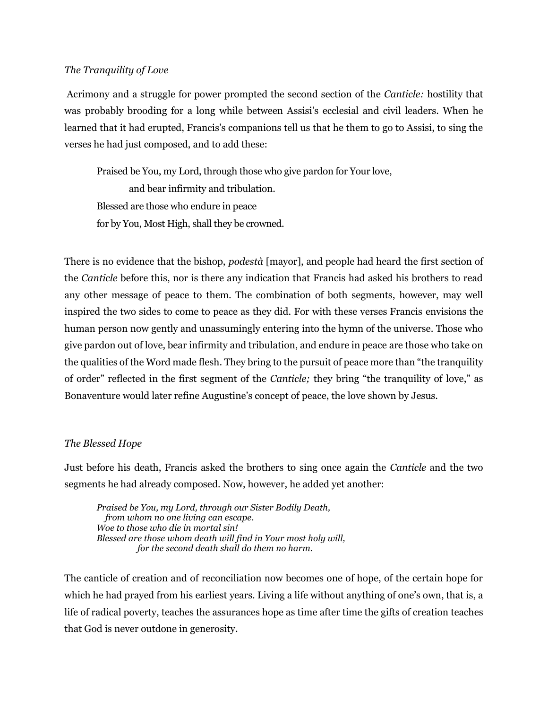#### *The Tranquility of Love*

Acrimony and a struggle for power prompted the second section of the *Canticle:* hostility that was probably brooding for a long while between Assisi's ecclesial and civil leaders. When he learned that it had erupted, Francis's companions tell us that he them to go to Assisi, to sing the verses he had just composed, and to add these:

Praised be You, my Lord, through those who give pardon for Your love, and bear infirmity and tribulation. Blessed are those who endure in peace for by You, Most High, shall they be crowned.

There is no evidence that the bishop, *podestà* [mayor], and people had heard the first section of the *Canticle* before this, nor is there any indication that Francis had asked his brothers to read any other message of peace to them. The combination of both segments, however, may well inspired the two sides to come to peace as they did. For with these verses Francis envisions the human person now gently and unassumingly entering into the hymn of the universe. Those who give pardon out of love, bear infirmity and tribulation, and endure in peace are those who take on the qualities of the Word made flesh. They bring to the pursuit of peace more than "the tranquility of order" reflected in the first segment of the *Canticle;* they bring "the tranquility of love," as Bonaventure would later refine Augustine's concept of peace, the love shown by Jesus.

#### *The Blessed Hope*

Just before his death, Francis asked the brothers to sing once again the *Canticle* and the two segments he had already composed. Now, however, he added yet another:

*Praised be You, my Lord, through our Sister Bodily Death, from whom no one living can escape. Woe to those who die in mortal sin! Blessed are those whom death will find in Your most holy will, for the second death shall do them no harm.*

The canticle of creation and of reconciliation now becomes one of hope, of the certain hope for which he had prayed from his earliest years. Living a life without anything of one's own, that is, a life of radical poverty, teaches the assurances hope as time after time the gifts of creation teaches that God is never outdone in generosity.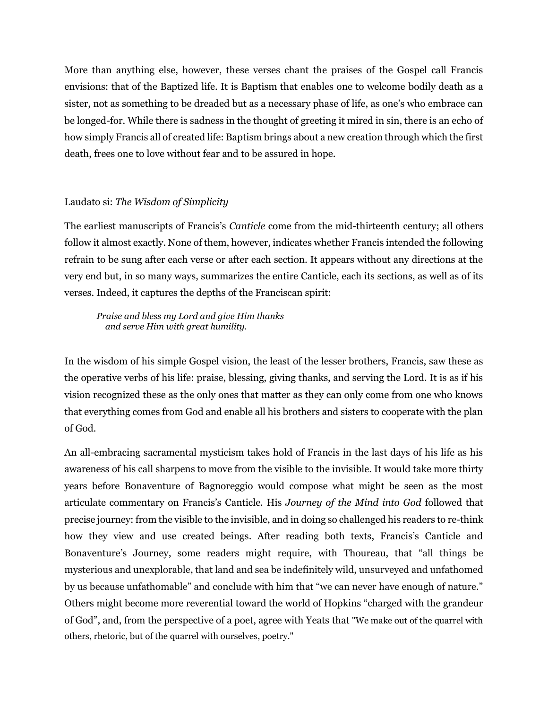More than anything else, however, these verses chant the praises of the Gospel call Francis envisions: that of the Baptized life. It is Baptism that enables one to welcome bodily death as a sister, not as something to be dreaded but as a necessary phase of life, as one's who embrace can be longed-for. While there is sadness in the thought of greeting it mired in sin, there is an echo of how simply Francis all of created life: Baptism brings about a new creation through which the first death, frees one to love without fear and to be assured in hope.

## Laudato si: *The Wisdom of Simplicity*

The earliest manuscripts of Francis's *Canticle* come from the mid-thirteenth century; all others follow it almost exactly. None of them, however, indicates whether Francis intended the following refrain to be sung after each verse or after each section. It appears without any directions at the very end but, in so many ways, summarizes the entire Canticle, each its sections, as well as of its verses. Indeed, it captures the depths of the Franciscan spirit:

#### *Praise and bless my Lord and give Him thanks and serve Him with great humility.*

In the wisdom of his simple Gospel vision, the least of the lesser brothers, Francis, saw these as the operative verbs of his life: praise, blessing, giving thanks, and serving the Lord. It is as if his vision recognized these as the only ones that matter as they can only come from one who knows that everything comes from God and enable all his brothers and sisters to cooperate with the plan of God.

An all-embracing sacramental mysticism takes hold of Francis in the last days of his life as his awareness of his call sharpens to move from the visible to the invisible. It would take more thirty years before Bonaventure of Bagnoreggio would compose what might be seen as the most articulate commentary on Francis's Canticle. His *Journey of the Mind into God* followed that precise journey: from the visible to the invisible, and in doing so challenged his readers to re-think how they view and use created beings. After reading both texts, Francis's Canticle and Bonaventure's Journey, some readers might require, with Thoureau, that "all things be mysterious and unexplorable, that land and sea be indefinitely wild, unsurveyed and unfathomed by us because unfathomable" and conclude with him that "we can never have enough of nature." Others might become more reverential toward the world of Hopkins "charged with the grandeur of God", and, from the perspective of a poet, agree with Yeats that "We make out of the quarrel with others, rhetoric, but of the quarrel with ourselves, poetry."